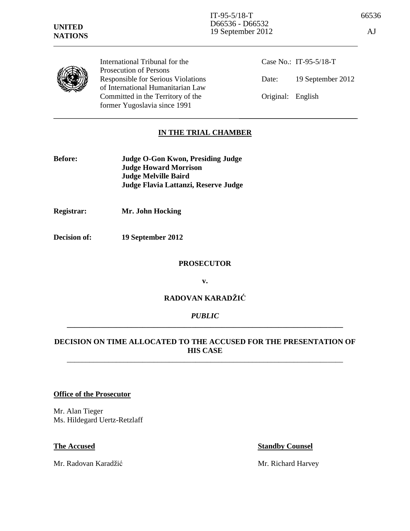

International Tribunal for the Prosecution of Persons Responsible for Serious Violations of International Humanitarian Law Committed in the Territory of the former Yugoslavia since 1991

Case No.: IT-95-5/18-T Date: 19 September 2012 Original: English

# **IN THE TRIAL CHAMBER**

| <b>Before:</b> | Judge O-Gon Kwon, Presiding Judge    |
|----------------|--------------------------------------|
|                | <b>Judge Howard Morrison</b>         |
|                | <b>Judge Melville Baird</b>          |
|                | Judge Flavia Lattanzi, Reserve Judge |

**Registrar: Mr. John Hocking** 

**Decision of: 19 September 2012** 

### **PROSECUTOR**

**v.** 

## **RADOVAN KARADŽIĆ**

## *PUBLIC*  **\_\_\_\_\_\_\_\_\_\_\_\_\_\_\_\_\_\_\_\_\_\_\_\_\_\_\_\_\_\_\_\_\_\_\_\_\_\_\_\_\_\_\_\_\_\_\_\_\_\_\_\_\_\_\_\_\_\_\_\_\_\_\_\_\_\_\_\_\_\_\_\_\_**

## **DECISION ON TIME ALLOCATED TO THE ACCUSED FOR THE PRESENTATION OF HIS CASE**  \_\_\_\_\_\_\_\_\_\_\_\_\_\_\_\_\_\_\_\_\_\_\_\_\_\_\_\_\_\_\_\_\_\_\_\_\_\_\_\_\_\_\_\_\_\_\_\_\_\_\_\_\_\_\_\_\_\_\_\_\_\_\_\_\_\_\_\_\_\_\_\_\_

### **Office of the Prosecutor**

Mr. Alan Tieger Ms. Hildegard Uertz-Retzlaff

**The Accused Standby Counsel** 

Mr. Radovan Karadžić Mr. Richard Harvey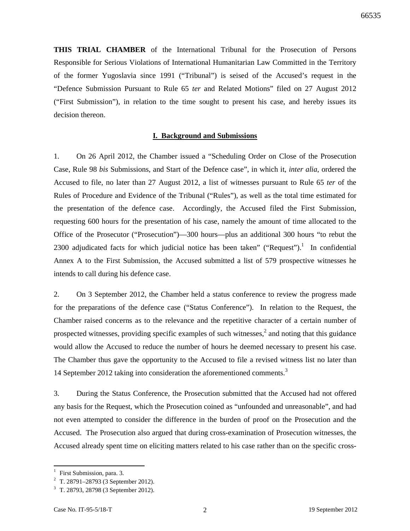**THIS TRIAL CHAMBER** of the International Tribunal for the Prosecution of Persons Responsible for Serious Violations of International Humanitarian Law Committed in the Territory of the former Yugoslavia since 1991 ("Tribunal") is seised of the Accused's request in the "Defence Submission Pursuant to Rule 65 *ter* and Related Motions" filed on 27 August 2012 ("First Submission"), in relation to the time sought to present his case, and hereby issues its decision thereon.

### **I. Background and Submissions**

1. On 26 April 2012, the Chamber issued a "Scheduling Order on Close of the Prosecution Case, Rule 98 *bis* Submissions, and Start of the Defence case", in which it, *inter alia*, ordered the Accused to file, no later than 27 August 2012, a list of witnesses pursuant to Rule 65 *ter* of the Rules of Procedure and Evidence of the Tribunal ("Rules"), as well as the total time estimated for the presentation of the defence case. Accordingly, the Accused filed the First Submission, requesting 600 hours for the presentation of his case, namely the amount of time allocated to the Office of the Prosecutor ("Prosecution")—300 hours—plus an additional 300 hours "to rebut the 2300 adjudicated facts for which judicial notice has been taken" ("Request").<sup>1</sup> In confidential Annex A to the First Submission, the Accused submitted a list of 579 prospective witnesses he intends to call during his defence case.

2. On 3 September 2012, the Chamber held a status conference to review the progress made for the preparations of the defence case ("Status Conference"). In relation to the Request, the Chamber raised concerns as to the relevance and the repetitive character of a certain number of prospected witnesses, providing specific examples of such witnesses, $\lambda^2$  and noting that this guidance would allow the Accused to reduce the number of hours he deemed necessary to present his case. The Chamber thus gave the opportunity to the Accused to file a revised witness list no later than 14 September 2012 taking into consideration the aforementioned comments.<sup>3</sup>

3. During the Status Conference, the Prosecution submitted that the Accused had not offered any basis for the Request, which the Prosecution coined as "unfounded and unreasonable", and had not even attempted to consider the difference in the burden of proof on the Prosecution and the Accused. The Prosecution also argued that during cross-examination of Prosecution witnesses, the Accused already spent time on eliciting matters related to his case rather than on the specific cross-

<sup>1</sup> First Submission, para. 3.

<sup>&</sup>lt;sup>2</sup> T. 28791–28793 (3 September 2012).

<sup>3</sup> T. 28793, 28798 (3 September 2012).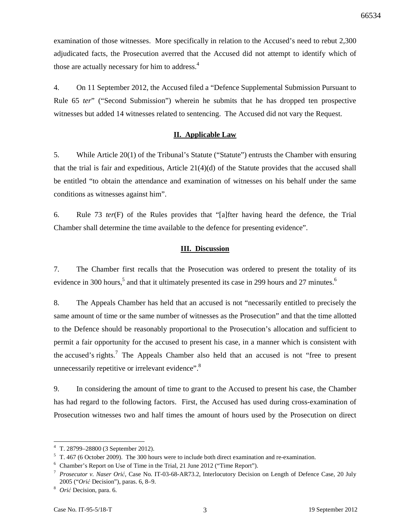examination of those witnesses. More specifically in relation to the Accused's need to rebut 2,300 adjudicated facts, the Prosecution averred that the Accused did not attempt to identify which of those are actually necessary for him to address.<sup>4</sup>

4. On 11 September 2012, the Accused filed a "Defence Supplemental Submission Pursuant to Rule 65 *ter*" ("Second Submission") wherein he submits that he has dropped ten prospective witnesses but added 14 witnesses related to sentencing. The Accused did not vary the Request.

### **II. Applicable Law**

5. While Article 20(1) of the Tribunal's Statute ("Statute") entrusts the Chamber with ensuring that the trial is fair and expeditious, Article  $21(4)(d)$  of the Statute provides that the accused shall be entitled "to obtain the attendance and examination of witnesses on his behalf under the same conditions as witnesses against him".

6. Rule 73 *ter*(F) of the Rules provides that "[a]fter having heard the defence, the Trial Chamber shall determine the time available to the defence for presenting evidence".

### **III. Discussion**

7. The Chamber first recalls that the Prosecution was ordered to present the totality of its evidence in 300 hours,<sup>5</sup> and that it ultimately presented its case in 299 hours and 27 minutes.<sup>6</sup>

8. The Appeals Chamber has held that an accused is not "necessarily entitled to precisely the same amount of time or the same number of witnesses as the Prosecution" and that the time allotted to the Defence should be reasonably proportional to the Prosecution's allocation and sufficient to permit a fair opportunity for the accused to present his case, in a manner which is consistent with the accused's rights.<sup>7</sup> The Appeals Chamber also held that an accused is not "free to present unnecessarily repetitive or irrelevant evidence".<sup>8</sup>

9. In considering the amount of time to grant to the Accused to present his case, the Chamber has had regard to the following factors. First, the Accused has used during cross-examination of Prosecution witnesses two and half times the amount of hours used by the Prosecution on direct

<sup>4</sup> T. 28799–28800 (3 September 2012).

 $5$  T. 467 (6 October 2009). The 300 hours were to include both direct examination and re-examination.

<sup>&</sup>lt;sup>6</sup> Chamber's Report on Use of Time in the Trial, 21 June 2012 ("Time Report").

<sup>7</sup> *Prosecutor v. Naser Orić*, Case No. IT-03-68-AR73.2, Interlocutory Decision on Length of Defence Case, 20 July 2005 ("*Orić* Decision"), paras. 6, 8–9.

<sup>8</sup> *Orić* Decision, para. 6.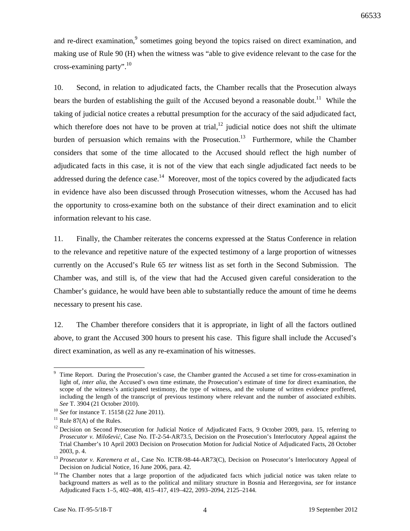and re-direct examination,<sup>9</sup> sometimes going beyond the topics raised on direct examination, and making use of Rule 90 (H) when the witness was "able to give evidence relevant to the case for the cross-examining party".<sup>10</sup>

10. Second, in relation to adjudicated facts, the Chamber recalls that the Prosecution always bears the burden of establishing the guilt of the Accused beyond a reasonable doubt.<sup>11</sup> While the taking of judicial notice creates a rebuttal presumption for the accuracy of the said adjudicated fact, which therefore does not have to be proven at trial,  $12$  judicial notice does not shift the ultimate burden of persuasion which remains with the Prosecution.<sup>13</sup> Furthermore, while the Chamber considers that some of the time allocated to the Accused should reflect the high number of adjudicated facts in this case, it is not of the view that each single adjudicated fact needs to be addressed during the defence case.<sup>14</sup> Moreover, most of the topics covered by the adjudicated facts in evidence have also been discussed through Prosecution witnesses, whom the Accused has had the opportunity to cross-examine both on the substance of their direct examination and to elicit information relevant to his case.

11. Finally, the Chamber reiterates the concerns expressed at the Status Conference in relation to the relevance and repetitive nature of the expected testimony of a large proportion of witnesses currently on the Accused's Rule 65 *ter* witness list as set forth in the Second Submission. The Chamber was, and still is, of the view that had the Accused given careful consideration to the Chamber's guidance, he would have been able to substantially reduce the amount of time he deems necessary to present his case.

12. The Chamber therefore considers that it is appropriate, in light of all the factors outlined above, to grant the Accused 300 hours to present his case. This figure shall include the Accused's direct examination, as well as any re-examination of his witnesses.

<sup>9</sup> Time Report. During the Prosecution's case, the Chamber granted the Accused a set time for cross-examination in light of, *inter alia*, the Accused's own time estimate, the Prosecution's estimate of time for direct examination, the scope of the witness's anticipated testimony, the type of witness, and the volume of written evidence proffered, including the length of the transcript of previous testimony where relevant and the number of associated exhibits. *See* T. 3904 (21 October 2010).

<sup>10</sup> *See* for instance T. 15158 (22 June 2011).

 $11$  Rule 87(A) of the Rules.

 $12$  Decision on Second Prosecution for Judicial Notice of Adjudicated Facts, 9 October 2009, para. 15, referring to *Prosecutor v. Milošević*, Case No. IT-2-54-AR73.5, Decision on the Prosecution's Interlocutory Appeal against the Trial Chamber's 10 April 2003 Decision on Prosecution Motion for Judicial Notice of Adjudicated Facts, 28 October 2003, p. 4.

<sup>&</sup>lt;sup>13</sup> Prosecutor v. Karemera et al., Case No. ICTR-98-44-AR73(C), Decision on Prosecutor's Interlocutory Appeal of Decision on Judicial Notice, 16 June 2006, para. 42.

<sup>&</sup>lt;sup>14</sup> The Chamber notes that a large proportion of the adjudicated facts which judicial notice was taken relate to background matters as well as to the political and military structure in Bosnia and Herzegovina, *see* for instance Adjudicated Facts 1–5, 402–408, 415–417, 419–422, 2093–2094, 2125–2144.